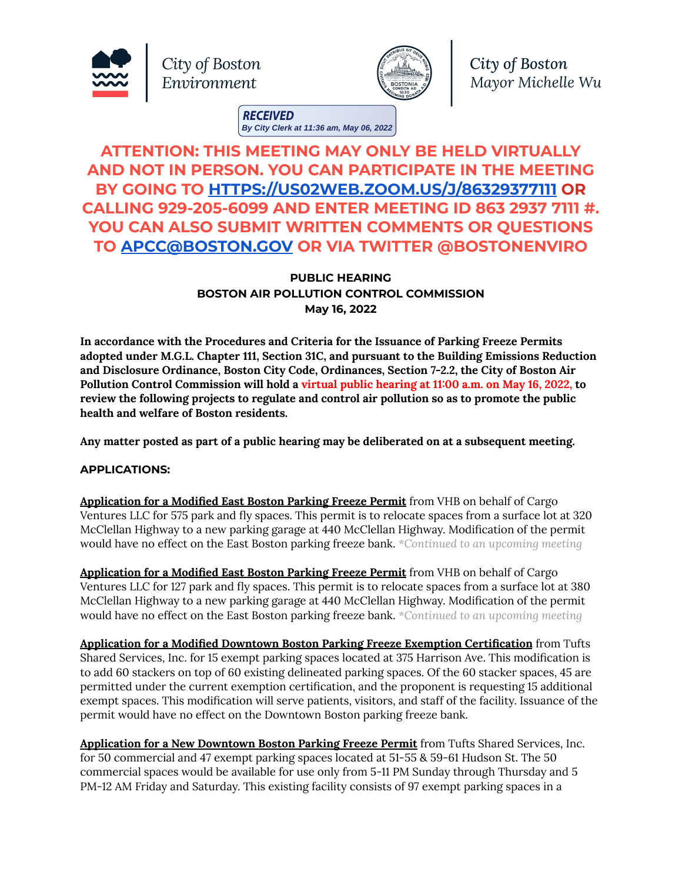





City of Boston Mayor Michelle Wu

**RECEIVED By City Clerk at 11:36 am, May 06, 2022**

## **ATTENTION: THIS MEETING MAY ONLY BE HELD VIRTUALLY AND NOT IN PERSON. YOU CAN PARTICIPATE IN THE MEETING BY GOING TO [HTTPS://US02WEB.ZOOM.US/J/86329377111](https://us02web.zoom.us/J/86329377111) OR CALLING 929-205-6099 AND ENTER MEETING ID 863 2937 7111 #. YOU CAN ALSO SUBMIT WRITTEN COMMENTS OR QUESTIONS TO [APCC@BOSTON.GOV](mailto:APCC@BOSTON.GOV) OR VIA TWITTER @BOSTONENVIRO**

## **PUBLIC HEARING BOSTON AIR POLLUTION CONTROL COMMISSION May 16, 2022**

**In accordance with the Procedures and Criteria for the Issuance of Parking Freeze Permits adopted under M.G.L. Chapter 111, Section 31C, and pursuant to the Building Emissions Reduction and Disclosure Ordinance, Boston City Code, Ordinances, Section 7-2.2, the City of Boston Air Pollution Control Commission will hold a virtual public hearing at 11:00 a.m. on May 16, 2022, to review the following projects to regulate and control air pollution so as to promote the public health and welfare of Boston residents.**

**Any matter posted as part of a public hearing may be deliberated on at a subsequent meeting.**

## **APPLICATIONS:**

**Application for a Modified East Boston Parking Freeze Permit** from VHB on behalf of Cargo Ventures LLC for 575 park and fly spaces. This permit is to relocate spaces from a surface lot at 320 McClellan Highway to a new parking garage at 440 McClellan Highway. Modification of the permit would have no effect on the East Boston parking freeze bank. *\*Continued to an upcoming meeting*

**Application for a Modified East Boston Parking Freeze Permit** from VHB on behalf of Cargo Ventures LLC for 127 park and fly spaces. This permit is to relocate spaces from a surface lot at 380 McClellan Highway to a new parking garage at 440 McClellan Highway. Modification of the permit would have no effect on the East Boston parking freeze bank. *\*Continued to an upcoming meeting*

**Application for a Modified Downtown Boston Parking Freeze Exemption Certification** from Tufts Shared Services, Inc. for 15 exempt parking spaces located at 375 Harrison Ave. This modification is to add 60 stackers on top of 60 existing delineated parking spaces. Of the 60 stacker spaces, 45 are permitted under the current exemption certification, and the proponent is requesting 15 additional exempt spaces. This modification will serve patients, visitors, and staff of the facility. Issuance of the permit would have no effect on the Downtown Boston parking freeze bank.

**Application for a New Downtown Boston Parking Freeze Permit** from Tufts Shared Services, Inc. for 50 commercial and 47 exempt parking spaces located at 51-55 & 59-61 Hudson St. The 50 commercial spaces would be available for use only from 5-11 PM Sunday through Thursday and 5 PM-12 AM Friday and Saturday. This existing facility consists of 97 exempt parking spaces in a